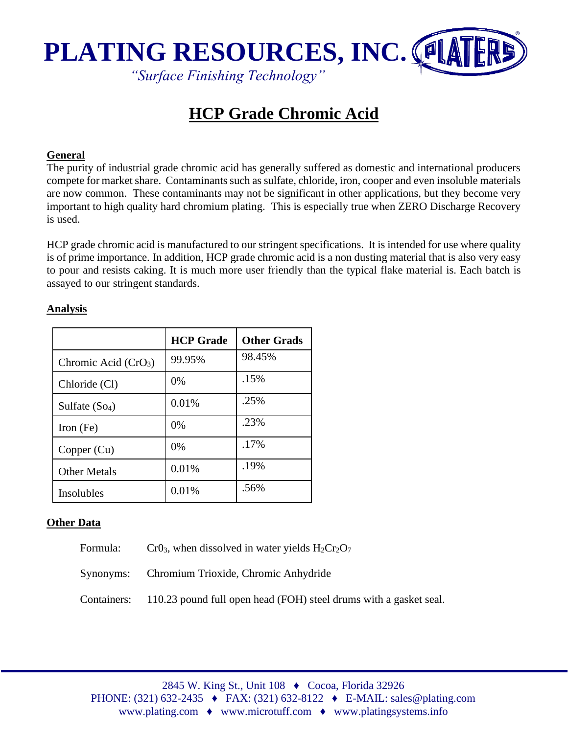

*"Surface Finishing Technology"*

# **HCP Grade Chromic Acid**

#### **General**

The purity of industrial grade chromic acid has generally suffered as domestic and international producers compete for market share. Contaminants such as sulfate, chloride, iron, cooper and even insoluble materials are now common. These contaminants may not be significant in other applications, but they become very important to high quality hard chromium plating. This is especially true when ZERO Discharge Recovery is used.

HCP grade chromic acid is manufactured to our stringent specifications. It is intended for use where quality is of prime importance. In addition, HCP grade chromic acid is a non dusting material that is also very easy to pour and resists caking. It is much more user friendly than the typical flake material is. Each batch is assayed to our stringent standards.

|                       | <b>HCP</b> Grade | <b>Other Grads</b> |
|-----------------------|------------------|--------------------|
| Chromic Acid $(CrO3)$ | 99.95%           | 98.45%             |
| Chloride (Cl)         | $0\%$            | .15%               |
| Sulfate $(So4)$       | 0.01%            | .25%               |
| Iron $(Fe)$           | 0%               | .23%               |
| Copper (Cu)           | $0\%$            | .17%               |
| <b>Other Metals</b>   | 0.01%            | .19%               |
| Insolubles            | 0.01%            | .56%               |

### **Analysis**

## **Other Data**

Formula: Cr03, when dissolved in water yields  $H_2Cr_2O_7$ 

Synonyms: Chromium Trioxide, Chromic Anhydride

Containers: 110.23 pound full open head (FOH) steel drums with a gasket seal.